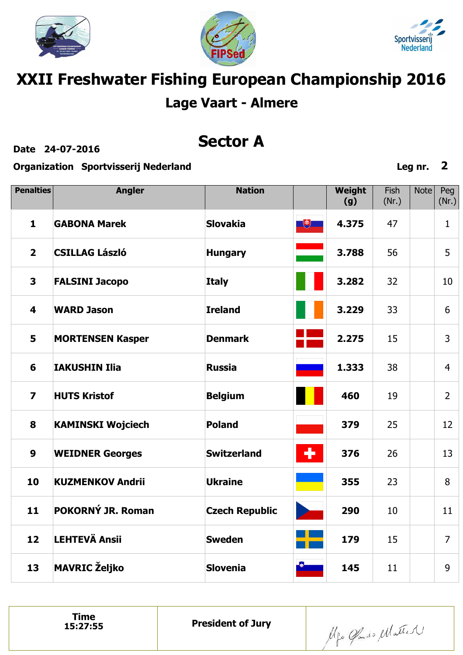





## **XXII Freshwater Fishing European Championship 2016 Lage Vaart - Almere**

**Date 24-07-2016**

### **Sector A**

**Organization Sportvisserij Nederland**

Fish Note Peg **Penalties Angler Nation Weight (g)** (Nr.) (Nr.)  $\begin{array}{|c|c|} \hline \text{H} & \text{H} \end{array}$ **GABONA Marek Slovakia 4.375 1** 47 1 **2 CSILLAG László 3.788** 56 5 **Hungary FALSINI Jacopo 3 Italy 3.282** 32 10 **WARD Jason Ireland 4 3.229** 33 6 **5 MORTENSEN Kasper Denmark 2.275** 15 3 **IAKUSHIN Ilia Russia 6 1.333** 38 4 **7 HUTS Kristof Belgium 460** 19 2 **KAMINSKI Wojciech Poland 379** 25 **8** 12  $\bullet$ **9 WEIDNER Georges Switzerland 376** 26 13 **10 KUZMENKOV Andrii Ukraine 355** 23 8 **POKORNÝ JR. Roman 11 Czech Republic 290** 10 11 **LEHTEVÄ Ansii 12 Sweden 179** 15 7 **MAVRIC Željko 13 Slovenia 145** 11 9

Algo Gado Matter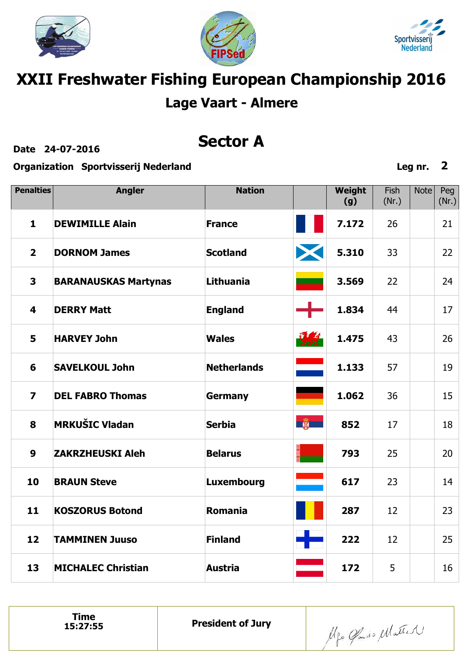





## **XXII Freshwater Fishing European Championship 2016 Lage Vaart - Almere**

**Date 24-07-2016**

### **Sector A**

**Organization Sportvisserij Nederland**

Fish Note Peg **Penalties Angler Nation Weight (g)** (Nr.) (Nr.) **DEWIMILLE Alain 7.172 1 France** 26 21 X **2 DORNOM James Scotland 5.310** 33 22 **3 BARANAUSKAS Martynas Lithuania 3.569** 22 24 44 **4 DERRY Matt England 1.834** 17 **1.475 HARVEY John 5 Wales** 43 26 **Netherlands 6 SAVELKOUL John 1.133** 57 19 **7 DEL FABRO Thomas Germany 1.062** 36 15 第一 **MRKUŠIC Vladan Serbia 852 8** 17 18 **9 ZAKRZHEUSKI Aleh Belarus 793** 25 20 **BRAUN Steve 617** 23 **10 Luxembourg** 14 **11 KOSZORUS Botond Romania 287** 12 23 **TAMMINEN Juuso 12 Finland 222** 12 25 **13 MICHALEC Christian Austria 172** 5 16

Algo Gado Matter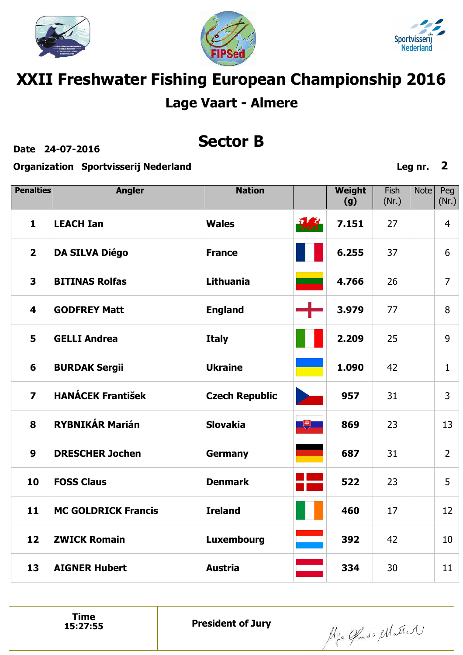





# **XXII Freshwater Fishing European Championship 2016 Lage Vaart - Almere**

**Date 24-07-2016**

### **Sector B**

**Organization Sportvisserij Nederland**

| <b>Penalties</b>        | <b>Angler</b>              | <b>Nation</b>         |                             | Weight<br>(g) | Fish<br>(Nr.) | <b>Note</b> | Peg<br>(Nr.)   |
|-------------------------|----------------------------|-----------------------|-----------------------------|---------------|---------------|-------------|----------------|
| $\mathbf{1}$            | <b>LEACH Ian</b>           | <b>Wales</b>          | $\sqrt{1+4}$<br><b>WAST</b> | 7.151         | 27            |             | $\overline{4}$ |
| $\overline{2}$          | <b>DA SILVA Diégo</b>      | <b>France</b>         |                             | 6.255         | 37            |             | 6              |
| 3                       | <b>BITINAS Rolfas</b>      | Lithuania             |                             | 4.766         | 26            |             | $\overline{7}$ |
| $\overline{\mathbf{4}}$ | <b>GODFREY Matt</b>        | <b>England</b>        |                             | 3.979         | 77            |             | 8              |
| 5                       | <b>GELLI Andrea</b>        | <b>Italy</b>          |                             | 2.209         | 25            |             | 9              |
| 6                       | <b>BURDAK Sergii</b>       | <b>Ukraine</b>        |                             | 1.090         | 42            |             | $\mathbf{1}$   |
| $\overline{\mathbf{z}}$ | <b>HANÁCEK František</b>   | <b>Czech Republic</b> |                             | 957           | 31            |             | 3              |
| 8                       | <b>RYBNIKÁR Marián</b>     | <b>Slovakia</b>       | $\Box$                      | 869           | 23            |             | 13             |
| $\boldsymbol{9}$        | <b>DRESCHER Jochen</b>     | <b>Germany</b>        |                             | 687           | 31            |             | $\overline{2}$ |
| 10                      | <b>FOSS Claus</b>          | <b>Denmark</b>        |                             | 522           | 23            |             | 5              |
| 11                      | <b>MC GOLDRICK Francis</b> | <b>Ireland</b>        |                             | 460           | 17            |             | 12             |
| 12                      | <b>ZWICK Romain</b>        | <b>Luxembourg</b>     |                             | 392           | 42            |             | 10             |
| 13                      | <b>AIGNER Hubert</b>       | <b>Austria</b>        |                             | 334           | 30            |             | 11             |

Alfo Glado Matter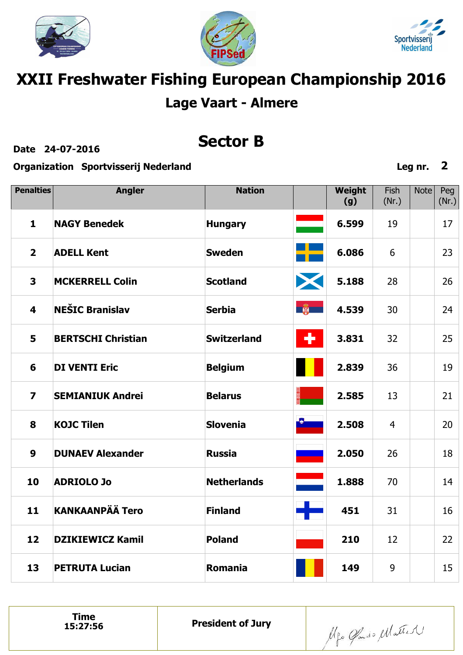





# **XXII Freshwater Fishing European Championship 2016 Lage Vaart - Almere**

**Date 24-07-2016**

### **Sector B**

**Organization Sportvisserij Nederland**

| <b>Penalties</b>        | <b>Angler</b>             | <b>Nation</b>      |    | Weight<br>(g) | <b>Fish</b><br>(Nr.) | <b>Note</b> | Peg<br>(Nr.) |
|-------------------------|---------------------------|--------------------|----|---------------|----------------------|-------------|--------------|
| $\mathbf{1}$            | <b>NAGY Benedek</b>       | <b>Hungary</b>     |    | 6.599         | 19                   |             | 17           |
| $\overline{2}$          | <b>ADELL Kent</b>         | <b>Sweden</b>      |    | 6.086         | 6                    |             | 23           |
| $\mathbf{3}$            | <b>MCKERRELL Colin</b>    | <b>Scotland</b>    | X  | 5.188         | 28                   |             | 26           |
| $\overline{\mathbf{4}}$ | <b>NEŠIC Branislav</b>    | <b>Serbia</b>      | 第一 | 4.539         | 30                   |             | 24           |
| 5                       | <b>BERTSCHI Christian</b> | <b>Switzerland</b> | ٠  | 3.831         | 32                   |             | 25           |
| 6                       | <b>DI VENTI Eric</b>      | <b>Belgium</b>     |    | 2.839         | 36                   |             | 19           |
| $\overline{\mathbf{z}}$ | <b>SEMIANIUK Andrei</b>   | <b>Belarus</b>     |    | 2.585         | 13                   |             | 21           |
| 8                       | <b>KOJC Tilen</b>         | <b>Slovenia</b>    |    | 2.508         | $\overline{4}$       |             | 20           |
| $\boldsymbol{9}$        | <b>DUNAEV Alexander</b>   | <b>Russia</b>      |    | 2.050         | 26                   |             | 18           |
| 10                      | <b>ADRIOLO Jo</b>         | <b>Netherlands</b> |    | 1.888         | 70                   |             | 14           |
| 11                      | <b>KANKAANPÄÄ Tero</b>    | <b>Finland</b>     |    | 451           | 31                   |             | 16           |
| 12                      | <b>DZIKIEWICZ Kamil</b>   | <b>Poland</b>      |    | 210           | 12                   |             | 22           |
| 13                      | <b>PETRUTA Lucian</b>     | <b>Romania</b>     |    | 149           | 9                    |             | 15           |

**Time**<br>15:27:56

Alfo Glado Matter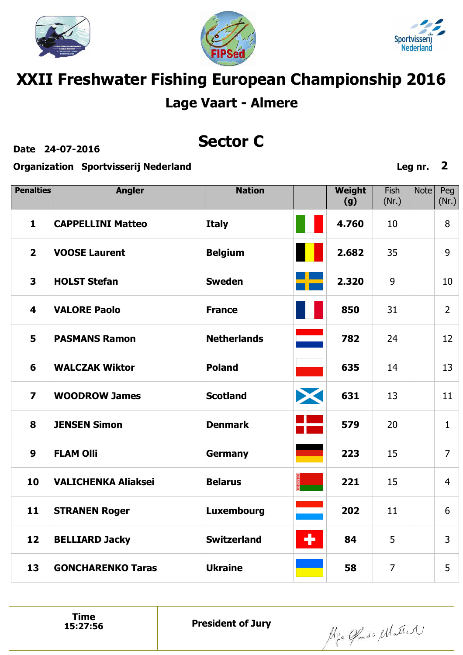





# **XXII Freshwater Fishing European Championship 2016 Lage Vaart - Almere**

**Date 24-07-2016**

### **Sector C**

**Organization Sportvisserij Nederland**

| <b>Penalties</b>        | <b>Angler</b>              | <b>Nation</b>      |   | Weight<br>(g) | Fish<br>(Nr.)  | <b>Note</b> | Peg<br>(Nr.)   |
|-------------------------|----------------------------|--------------------|---|---------------|----------------|-------------|----------------|
| $\mathbf{1}$            | <b>CAPPELLINI Matteo</b>   | <b>Italy</b>       |   | 4.760         | 10             |             | 8              |
| $\overline{2}$          | <b>VOOSE Laurent</b>       | <b>Belgium</b>     |   | 2.682         | 35             |             | 9              |
| $\overline{\mathbf{3}}$ | <b>HOLST Stefan</b>        | <b>Sweden</b>      |   | 2.320         | 9              |             | 10             |
| $\overline{\mathbf{4}}$ | <b>VALORE Paolo</b>        | <b>France</b>      |   | 850           | 31             |             | $\overline{2}$ |
| 5                       | <b>PASMANS Ramon</b>       | <b>Netherlands</b> |   | 782           | 24             |             | 12             |
| 6                       | <b>WALCZAK Wiktor</b>      | <b>Poland</b>      |   | 635           | 14             |             | 13             |
| $\overline{\mathbf{z}}$ | <b>WOODROW James</b>       | <b>Scotland</b>    | X | 631           | 13             |             | 11             |
| 8                       | <b>JENSEN Simon</b>        | <b>Denmark</b>     |   | 579           | 20             |             | $\mathbf{1}$   |
| $\boldsymbol{9}$        | <b>FLAM Olli</b>           | <b>Germany</b>     |   | 223           | 15             |             | $\overline{7}$ |
| 10                      | <b>VALICHENKA Aliaksei</b> | <b>Belarus</b>     |   | 221           | 15             |             | $\overline{4}$ |
| 11                      | <b>STRANEN Roger</b>       | <b>Luxembourg</b>  |   | 202           | 11             |             | 6              |
| 12                      | <b>BELLIARD Jacky</b>      | <b>Switzerland</b> | ÷ | 84            | 5              |             | 3              |
| 13                      | <b>GONCHARENKO Taras</b>   | <b>Ukraine</b>     |   | 58            | $\overline{7}$ |             | 5              |

Mgo Gando Matter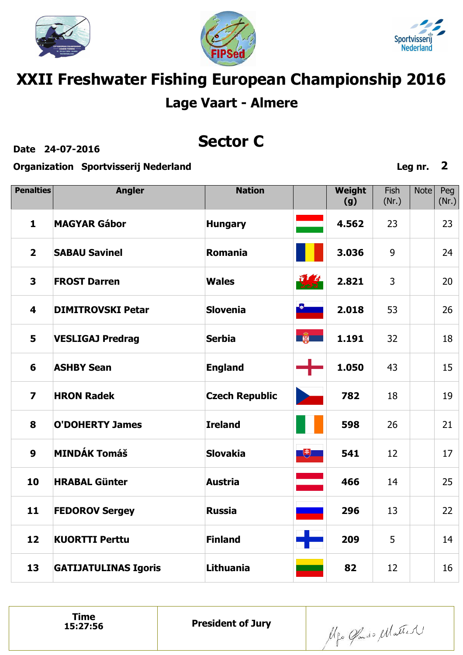





## **XXII Freshwater Fishing European Championship 2016 Lage Vaart - Almere**

**Date 24-07-2016**

### **Sector C**

**Organization Sportvisserij Nederland**

Fish Note Peg **Penalties Angler Nation Weight (g)** (Nr.) (Nr.) **MAGYAR Gábor 4.562 1 Hungary** 23 23 **2 SABAU Savinel Romania 3.036** 9 24 **3 FROST Darren Wales 2.821** 3 20 **Slovenia 4 DIMITROVSKI Petar 2.018** 53 26  $\frac{1}{2}$ **1.191 5 VESLIGAJ Predrag Serbia** 32 18 43 **6 ASHBY Sean England 1.050** 15 **7 HRON Radek Czech Republic 782** 18 19 **O'DOHERTY James Ireland 598** 26 **8** 21 **MINDÁK Tomáš 9 Slovakia**  $\overline{\mathcal{F}}$ **541** 12 17 **HRABAL Günter Austria 466** 14 25 **10 11 FEDOROV Sergey Russia 296** 13 22 **12 KUORTTI Perttu Finland 209** 5 14 **13 GATIJATULINAS Igoris Lithuania 82** 12 16

Algo Gado Matter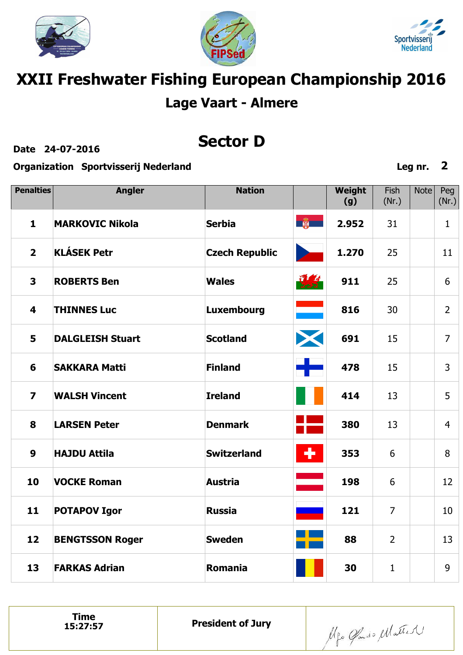





## **XXII Freshwater Fishing European Championship 2016 Lage Vaart - Almere**

**Date 24-07-2016**

### **Sector D**

**Organization Sportvisserij Nederland**

Fish Note Peg **Penalties Angler Nation Weight (g)** (Nr.) (Nr.)  $\frac{1}{2}$ **MARKOVIC Nikola Serbia 2.952 1** 31 1 **2 KLÁSEK Petr Czech Republic 1.270** 25 11 要 **3 ROBERTS Ben Wales 911** 25 6 er<br>Ber **4 THINNES Luc Luxembourg 816** 30 2 X **Scotland 691 5 DALGLEISH Stuart** 15 7 ا ب **Finland 6 SAKKARA Matti 478** 15 3 **7 WALSH Vincent Ireland 414** 13 5 **LARSEN Peter Denmark 380 8** 13 4  $\ddot{\phantom{1}}$ **9 HAJDU Attila Switzerland 353** 6 8 **VOCKE Roman Austria 10 198** 6 12 **11** 7 **POTAPOV Igor Russia 121** 10 **12 BENGTSSON Roger Sweden 88** 2 13 **13 FARKAS Adrian Romania 30** 1 9

**Time**<br>15:27:57

Algo Gado Matter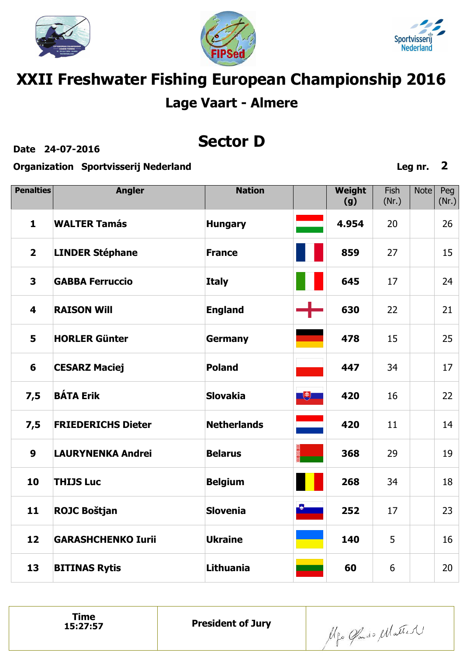





# **XXII Freshwater Fishing European Championship 2016 Lage Vaart - Almere**

**Date 24-07-2016**

### **Sector D**

**Organization Sportvisserij Nederland**

| <b>Penalties</b>        | <b>Angler</b>             | <b>Nation</b>      |   | Weight<br>(g) | Fish<br>(Nr.) | <b>Note</b> | Peg<br>(Nr.) |
|-------------------------|---------------------------|--------------------|---|---------------|---------------|-------------|--------------|
| $\mathbf{1}$            | <b>WALTER Tamás</b>       | <b>Hungary</b>     |   | 4.954         | 20            |             | 26           |
| $\overline{2}$          | <b>LINDER Stéphane</b>    | <b>France</b>      |   | 859           | 27            |             | 15           |
| $\overline{\mathbf{3}}$ | <b>GABBA Ferruccio</b>    | <b>Italy</b>       |   | 645           | 17            |             | 24           |
| $\overline{\mathbf{4}}$ | <b>RAISON Will</b>        | <b>England</b>     |   | 630           | 22            |             | 21           |
| 5                       | <b>HORLER Günter</b>      | <b>Germany</b>     |   | 478           | 15            |             | 25           |
| 6                       | <b>CESARZ Maciej</b>      | <b>Poland</b>      |   | 447           | 34            |             | 17           |
| 7,5                     | <b>BÁTA Erik</b>          | <b>Slovakia</b>    | 飞 | 420           | 16            |             | 22           |
| 7,5                     | <b>FRIEDERICHS Dieter</b> | <b>Netherlands</b> |   | 420           | 11            |             | 14           |
| $\boldsymbol{9}$        | <b>LAURYNENKA Andrei</b>  | <b>Belarus</b>     |   | 368           | 29            |             | 19           |
| 10                      | <b>THIJS Luc</b>          | <b>Belgium</b>     |   | 268           | 34            |             | 18           |
| 11                      | <b>ROJC Boštjan</b>       | <b>Slovenia</b>    |   | 252           | 17            |             | 23           |
| 12                      | <b>GARASHCHENKO Iurii</b> | <b>Ukraine</b>     |   | 140           | 5             |             | 16           |
| 13                      | <b>BITINAS Rytis</b>      | <b>Lithuania</b>   |   | 60            | 6             |             | 20           |

Alfo Glado Matter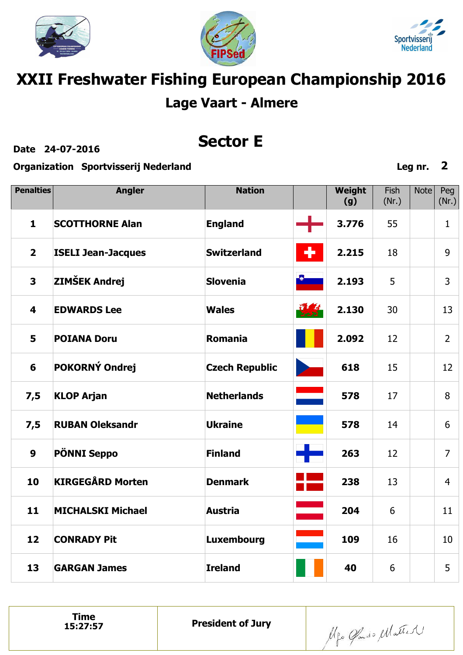





## **XXII Freshwater Fishing European Championship 2016 Lage Vaart - Almere**

**Date 24-07-2016**

### **Sector E**

**Organization Sportvisserij Nederland**

Fish Note Peg **Penalties Angler Nation Weight (g)** (Nr.) (Nr.) **SCOTTHORNE Alan 3.776 1 England** 55 1 **2 ISELI Jean-Jacques Switzerland 2.215** 18 9 **ZIMŠEK Andrej 3 Slovenia 2.193** 5 3 **4 EDWARDS Lee Wales 2.130** 30 13 **POIANA Doru 5 Romania 2.092** 12 2 **POKORNÝ Ondrej Czech Republic 6 618** 15 12 **7,5 KLOP Arjan Netherlands 578** 17 8 **7,5 RUBAN Oleksandr Ukraine 578** 14 6 42 **9 PÖNNI Seppo Finland 263** 12 7 **KIRGEGÅRD Morten 10 Denmark 238** 13 4 **11 MICHALSKI Michael Austria 204** 6 11 **12 CONRADY Pit Luxembourg 109** 16 10 **13 GARGAN James Ireland 40** 6 5

**President of Jury** 

Algo Gado Matter

**Leg nr. 2**